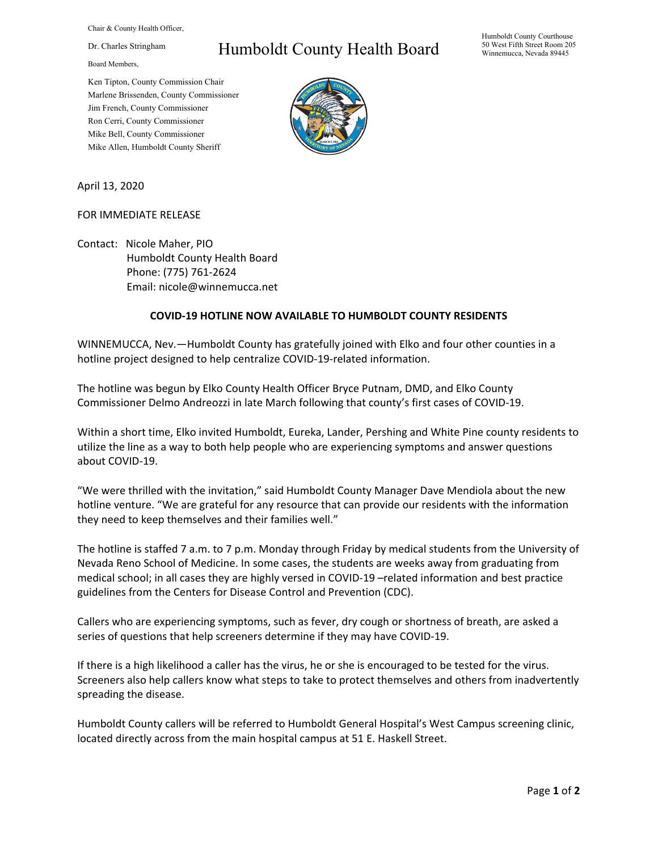Chair & County Health Officer,

Dr. Charles Stringham

Board Members,

Humboldt County Health Board

Humboldt County Courthouse 50 West Fifth Street Room 205 Winnemucca, Nevada 89445

Ken Tipton, County Commission Chair Marlene Brissenden, County Commissioner Jim French, County Commissioner Ron Cerri, County Commissioner Mike Bell, County Commissioner Mike Allen, Humboldt County Sheriff



April 13, 2020

## FOR IMMEDIATE RELEASE

Contact: Nicole Maher, PIO Humboldt County Health Board Phone: (775) 761-2624 Email: nicole@winnemucca.net

## **COVID-19 HOTLINE NOW AVAILABLE TO HUMBOLDT COUNTY RESIDENTS**

WINNEMUCCA, Nev.—Humboldt County has gratefully joined with Elko and four other counties in a hotline project designed to help centralize COVID-19-related information.

The hotline was begun by Elko County Health Officer Bryce Putnam, DMD, and Elko County Commissioner Delmo Andreozzi in late March following that county's first cases of COVID-19.

Within a short time, Elko invited Humboldt, Eureka, Lander, Pershing and White Pine county residents to utilize the line as a way to both help people who are experiencing symptoms and answer questions about COVID-19.

"We were thrilled with the invitation," said Humboldt County Manager Dave Mendiola about the new hotline venture. "We are grateful for any resource that can provide our residents with the information they need to keep themselves and their families well."

The hotline is staffed 7 a.m. to 7 p.m. Monday through Friday by medical students from the University of Nevada Reno School of Medicine. In some cases, the students are weeks away from graduating from medical school; in all cases they are highly versed in COVID-19 –related information and best practice guidelines from the Centers for Disease Control and Prevention (CDC).

Callers who are experiencing symptoms, such as fever, dry cough or shortness of breath, are asked a series of questions that help screeners determine if they may have COVID-19.

If there is a high likelihood a caller has the virus, he or she is encouraged to be tested for the virus. Screeners also help callers know what steps to take to protect themselves and others from inadvertently spreading the disease.

Humboldt County callers will be referred to Humboldt General Hospital's West Campus screening clinic, located directly across from the main hospital campus at 51 E. Haskell Street.